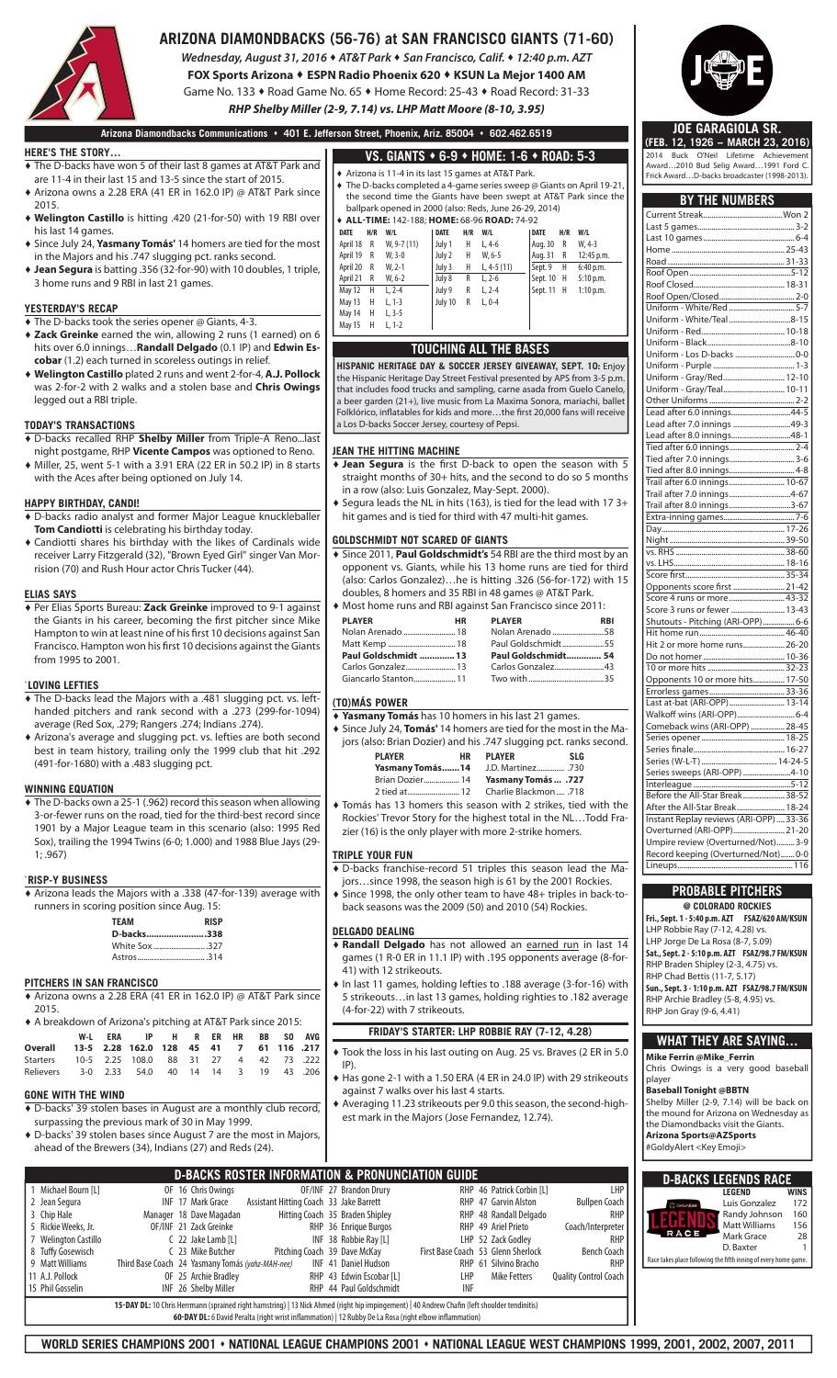

## **ARIZONA DIAMONDBACKS (56-76) at SAN FRANCISCO GIANTS (71-60)**

*Wednesday, August 31, 2016* **♦** *AT&T Park* **♦** *San Francisco, Calif.* **♦** *12:40 p.m. AZT*

**FOX Sports Arizona ♦ ESPN Radio Phoenix 620 ♦ KSUN La Mejor 1400 AM** Game No. 133 **♦** Road Game No. 65 **♦** Home Record: 25-43 **♦** Road Record: 31-33

*RHP Shelby Miller (2-9, 7.14) vs. LHP Matt Moore (8-10, 3.95)*

**Arizona Diamondbacks Communications 401 E. Jefferson Street, Phoenix, Ariz. 85004 602.462.6519**

#### **HERE'S THE STORY…**

- ♦ The D-backs have won 5 of their last 8 games at AT&T Park and are 11-4 in their last 15 and 13-5 since the start of 2015. ♦ Arizona owns a 2.28 ERA (41 ER in 162.0 IP) @ AT&T Park since
- 2015. ♦ **Welington Castillo** is hitting .420 (21-for-50) with 19 RBI over
- his last 14 games. ♦ Since July 24, **Yasmany Tomás'** 14 homers are tied for the most
- in the Majors and his .747 slugging pct. ranks second.
- ♦ **Jean Segura** is batting .356 (32-for-90) with 10 doubles, 1 triple, 3 home runs and 9 RBI in last 21 games.

#### **YESTERDAY'S RECAP**

- ♦ The D-backs took the series opener @ Giants, 4-3.
- ♦ **Zack Greinke** earned the win, allowing 2 runs (1 earned) on 6 hits over 6.0 innings…**Randall Delgado** (0.1 IP) and **Edwin Escobar** (1.2) each turned in scoreless outings in relief.
- ♦ **Welington Castillo** plated 2 runs and went 2-for-4, **A.J. Pollock** was 2-for-2 with 2 walks and a stolen base and **Chris Owings**  legged out a RBI triple.

#### **TODAY'S TRANSACTIONS**

- ♦ D-backs recalled RHP **Shelby Miller** from Triple-A Reno...last night postgame, RHP **Vicente Campos** was optioned to Reno.
- ♦ Miller, 25, went 5-1 with a 3.91 ERA (22 ER in 50.2 IP) in 8 starts with the Aces after being optioned on July 14.

#### **HAPPY BIRTHDAY, CANDI!**

- ♦ D-backs radio analyst and former Major League knuckleballer **Tom Candiotti** is celebrating his birthday today.
- ♦ Candiotti shares his birthday with the likes of Cardinals wide receiver Larry Fitzgerald (32), "Brown Eyed Girl" singer Van Morrision (70) and Rush Hour actor Chris Tucker (44).

#### **ELIAS SAYS**

♦ Per Elias Sports Bureau: **Zack Greinke** improved to 9-1 against the Giants in his career, becoming the first pitcher since Mike Hampton to win at least nine of his first 10 decisions against San Francisco. Hampton won his first 10 decisions against the Giants from 1995 to 2001.

#### `**LOVING LEFTIES**

- The D-backs lead the Majors with a .481 slugging pct. vs. lefthanded pitchers and rank second with a .273 (299-for-1094) average (Red Sox, .279; Rangers .274; Indians .274).
- ♦ Arizona's average and slugging pct. vs. lefties are both second best in team history, trailing only the 1999 club that hit .292 (491-for-1680) with a .483 slugging pct.

#### **WINNING EQUATION**

♦ The D-backs own a 25-1 (.962) record this season when allowing 3-or-fewer runs on the road, tied for the third-best record since 1901 by a Major League team in this scenario (also: 1995 Red Sox), trailing the 1994 Twins (6-0; 1.000) and 1988 Blue Jays (29- 1; .967)

#### `**RISP-Y BUSINESS**

♦ Arizona leads the Majors with a .338 (47-for-139) average with runners in scoring position since Aug. 15:

| <b>TEAM</b>             | <b>RISP</b> |
|-------------------------|-------------|
| D-backs338              |             |
| White Sox 327           |             |
| $A_{\text{strons}}$ 314 |             |

#### **PITCHERS IN SAN FRANCISCO**

♦ Arizona owns a 2.28 ERA (41 ER in 162.0 IP) @ AT&T Park since 2015.

| ♦ A breakdown of Arizona's pitching at AT&T Park since 2015: |  |  |                                      |  |  |  |  |  |  |
|--------------------------------------------------------------|--|--|--------------------------------------|--|--|--|--|--|--|
|                                                              |  |  | W-L ERA IP H R ER HR BB SO AVG       |  |  |  |  |  |  |
| 217. Overall 13-5 2.28 162.0 128 45 41 7 61 116              |  |  |                                      |  |  |  |  |  |  |
| Starters                                                     |  |  | 10-5 2.25 108.0 88 31 27 4 42 73 222 |  |  |  |  |  |  |
| Relievers 3-0 2.33 54.0 40 14 14 3 19 43 206                 |  |  |                                      |  |  |  |  |  |  |

#### **GONE WITH THE WIND**

2 Jean Segura 3 Chip Hale 5 Rickie Weeks, Jr.

8 Tuffy Gosewisch<br>9 Matt Williams

11 A | Pollock 15 Phil Gosselin

- ♦ D-backs' 39 stolen bases in August are a monthly club record, surpassing the previous mark of 30 in May 1999.
- D-backs' 39 stolen bases since August 7 are the most in Majors, ahead of the Brewers (34), Indians (27) and Reds (24).

16 Chris Owings

Manager 18 Daye Magadan OF/INF 21 Zack Greinke  $C$  22 Jake Lamb [L]

> OF 25 Archie Bradley INF 26 Shelby Miller

9 Matt Williams Third Base Coach 24 Yasmany Tomás (yahz-MAH-nee) INF

Michael Bourn [L] OF 16 Chris Owing<br>Jean Segura **18 Communist Communist Communist Communist** INF 17 Mark Grace

7 Welington Castillo<br>8 Tuffy Gosewisch C 23 Mike Butcher

| VS. GIANTS ◆ 6-9 ◆ HOME: 1-6 ◆ ROAD: 5-3                                                                                                                                                                                                                      |     |             |         |     |                                              |             |     |            |
|---------------------------------------------------------------------------------------------------------------------------------------------------------------------------------------------------------------------------------------------------------------|-----|-------------|---------|-----|----------------------------------------------|-------------|-----|------------|
| ♦ Arizona is 11-4 in its last 15 games at AT&T Park.<br>♦ The D-backs completed a 4-game series sweep @ Giants on April 19-21,<br>the second time the Giants have been swept at AT&T Park since the<br>ballpark opened in 2000 (also: Reds, June 26-29, 2014) |     |             |         |     |                                              |             |     |            |
|                                                                                                                                                                                                                                                               |     |             |         |     | ◆ ALL-TIME: 142-188: HOME: 68-96 ROAD: 74-92 |             |     |            |
| <b>DATE</b>                                                                                                                                                                                                                                                   | H/R | W/L         | DATE    | H/R | W/L                                          | <b>DATE</b> | H/R | W/L        |
| April 18                                                                                                                                                                                                                                                      | R   | W, 9-7 (11) | July 1  | H.  | $L, 4-6$                                     | Aug. 30     | R   | W, 4-3     |
| April 19                                                                                                                                                                                                                                                      | R   | $W. 3-0$    | July 2  | Н.  | $W. 6-5$                                     | Aug. 31     | R   | 12:45 p.m. |
| April 20                                                                                                                                                                                                                                                      | R   | $W, 2-1$    | July 3  | H   | L, 4-5 $(11)$                                | Sept. 9     | Н.  | 6:40 p.m.  |
| April 21                                                                                                                                                                                                                                                      | R   | $W, 6-2$    | July 8  | R   | $L.2-6$                                      | Sept. 10    | Н.  | 5:10 p.m.  |
| May 12                                                                                                                                                                                                                                                        | H.  | $L.2 - 4$   | July 9  | R   | $L, 2-4$                                     | Sept. 11    | H   | 1:10 p.m.  |
| May 13                                                                                                                                                                                                                                                        | н   | $L, 1-3$    | July 10 | R   | $L.0 - 4$                                    |             |     |            |
| May 14                                                                                                                                                                                                                                                        | н   | $L, 3-5$    |         |     |                                              |             |     |            |
| May 15                                                                                                                                                                                                                                                        | Н   | $L. 1-2$    |         |     |                                              |             |     |            |

#### **TOUCHING ALL THE BASES**

**HISPANIC HERITAGE DAY & SOCCER JERSEY GIVEAWAY, SEPT. 10:** Enjoy the Hispanic Heritage Day Street Festival presented by APS from 3-5 p.m. that includes food trucks and sampling, carne asada from Guelo Canelo, a beer garden (21+), live music from La Maxima Sonora, mariachi, ballet<br>Folklórico, inflatables for kids and more…the first 20,000 fans will receive .<br>co, inflatables for kids and more. a Los D-backs Soccer Jersey, courtesy of Pepsi.

#### **JEAN THE HITTING MACHINE**

- $\overline{\bullet}$  **Jean Segura** is the first D-back to open the season with 5 straight months of 30+ hits, and the second to do so 5 months in a row (also: Luis Gonzalez, May-Sept. 2000).
- $\bullet$  Segura leads the NL in hits (163), is tied for the lead with 17 3+ hit games and is tied for third with 47 multi-hit games.

#### **GOLDSCHMIDT NOT SCARED OF GIANTS**

♦ Since 2011, **Paul Goldschmidt's** 54 RBI are the third most by an opponent vs. Giants, while his 13 home runs are tied for third (also: Carlos Gonzalez)…he is hitting .326 (56-for-172) with 15 doubles, 8 homers and 35 RBI in 48 games @ AT&T Park. ♦ Most home runs and RBI against San Francisco since 2011:

| <b>PLAYER</b>        | <b>HR</b> | <b>PLAYER</b>       | <b>RBI</b> |
|----------------------|-----------|---------------------|------------|
|                      |           |                     |            |
|                      |           | Paul Goldschmidt55  |            |
| Paul Goldschmidt  13 |           | Paul Goldschmidt 54 |            |
|                      |           |                     |            |
|                      |           |                     |            |
|                      |           |                     |            |

#### **(TO)MÁS POWER**

- ♦ **Yasmany Tomás** has 10 homers in his last 21 games.
- ♦ Since July 24, **Tomás'** 14 homers are tied for the most in the Majors (also: Brian Dozier) and his .747 slugging pct. ranks second. **PLAYER HR PLAYER SLG** 
	- **Yasmany Tomás.......14** J.D. Martinez............... .730<br>Brian Dozier................... 14 **Yasmany Tomás ... .727**  Brian Dozier .................. 14 **Yasmany Tomás ... .727** 2 tied at .......................... 12 Charlie Blackmon .... .718
- ♦ Tomás has 13 homers this season with 2 strikes, tied with the Rockies' Trevor Story for the highest total in the NL…Todd Frazier (16) is the only player with more 2-strike homers.

#### **TRIPLE YOUR FUN**

- ♦ D-backs franchise-record 51 triples this season lead the Majors…since 1998, the season high is 61 by the 2001 Rockies. ♦ Since 1998, the only other team to have 48+ triples in back-to-
- back seasons was the 2009 (50) and 2010 (54) Rockies.

### **DELGADO DEALING**

OF/INF 27 Brandon Drury RHP

Hitting Coach 35 Braden Shipley **1988 RHP 48 Randall Del**<br>RHP 36 Enrique Burgos RHP 49 Ariel Prieto

**INF 41 Daniel Hudson**<br>RHP 43 Edwin Escobar [1] **RHP 43 Edwin Escobar [1]** 

RHP 44 Paul Goldschmidt INF

17 Mark Grace Assistant Hitting Coach 33 Jake Barrett RHP

**D-BACKS ROSTER INFORMATION & PRONUNCIATION GUIDE**

RHP 36 Enrique Burgos INF 38 Robbie Ray [L]

RHP 43 Edwin Escobar [L]

23 Mike Butcher **Pitching Coach 39 Dave McKay** First Base Coach

15-DAY DL: 10 Chris Herrmann (sprained right hamstring) | 13 Nick Ahmed (right hip impingement) | 40 Andrew Chafin (left shoulder tendinitis) 60-DAY DL: 6 David Peralta (right wrist inflammation) | 12 Rubby De La Rosa (right elbow inflammation)

- ♦ **Randall Delgado** has not allowed an earned run in last 14 games (1 R-0 ER in 11.1 IP) with .195 opponents average (8-for-41) with 12 strikeouts.
- ♦ In last 11 games, holding lefties to .188 average (3-for-16) with 5 strikeouts…in last 13 games, holding righties to .182 average (4-for-22) with 7 strikeouts.

#### **FRIDAY'S STARTER: LHP ROBBIE RAY (7-12, 4.28)**

- ♦ Took the loss in his last outing on Aug. 25 vs. Braves (2 ER in 5.0 IP).
- ♦ Has gone 2-1 with a 1.50 ERA (4 ER in 24.0 IP) with 29 strikeouts against 7 walks over his last 4 starts.
- ♦ Averaging 11.23 strikeouts per 9.0 this season, the second-highest mark in the Majors (Jose Fernandez, 12.74).

RHP 47 Garvin Alston

46 Patrick Corbin [L]<br>47 Garvin Alston Bullpen Coach

Coach/Interpreter

Quality Control Coach

RHP 48 Randall Delgado RHF

LHP 52 Zack Godley<br>1930 - Dach 53 Glenn Sherlock Bench Coach First Base Coach 53 Glenn Sherlock Bench Coach<br>RHP 61 Silvino Bracho RHP RHP 61 Silvino Bracho<br>LHP Mike Fetters

| @ COLORADO ROCKIES                                 |  |
|----------------------------------------------------|--|
| Fri., Sept. 1 - 5:40 p.m. AZT    FSAZ/620 AM/KSUN  |  |
| LHP Robbie Ray (7-12, 4.28) vs.                    |  |
| LHP Jorge De La Rosa (8-7, 5.09)                   |  |
| Sat., Sept. 2 - 5:10 p.m. AZT    FSAZ/98.7 FM/KSUN |  |
| RHP Braden Shipley (2-3, 4.75) vs.                 |  |
| RHP Chad Bettis (11-7, 5.17)                       |  |
| Sun., Sept. 3 - 1:10 p.m. AZT FSAZ/98.7 FM/KSUN    |  |
| RHP Archie Bradley (5-8, 4.95) vs.                 |  |
| RHP Jon Gray (9-6, 4.41)                           |  |

#### **WHAT THEY ARE SAYING…**

**Mike Ferrin @Mike\_Ferrin** Chris Owings is a very good baseball player

### **Baseball Tonight @BBTN**

Shelby Miller (2-9, 7.14) will be back on the mound for Arizona on Wednesday as the Diamondbacks visit the Giants. **Arizona Sports@AZSports** #GoldyAlert <Key Emoji>

| <b>D-BACKS LEGENDS RACE</b>                                     |                      |             |  |  |  |  |  |
|-----------------------------------------------------------------|----------------------|-------------|--|--|--|--|--|
|                                                                 | <b>LEGEND</b>        | <b>WINS</b> |  |  |  |  |  |
| Contundad                                                       | Luis Gonzalez        | 172         |  |  |  |  |  |
|                                                                 | Randy Johnson        | 160         |  |  |  |  |  |
|                                                                 | <b>Matt Williams</b> | 156         |  |  |  |  |  |
|                                                                 | Mark Grace           | 28          |  |  |  |  |  |
|                                                                 | D. Baxter            |             |  |  |  |  |  |
| Race takes place following the fifth inning of every home game. |                      |             |  |  |  |  |  |

### **JOE GARAGIOLA SR. (FEB. 12, 1926 - MARCH 23, 2016)**

Last 10 games

Road ...

2014 Buck O'Neil Lifetime Achievement Award…2010 Bud Selig Award…1991 Ford C. Frick Award…D-backs broadcaster (1998-2013).

Current Streak ........................................Won 2 Last 5 games................................................. 3-2

**BY THE NUMBERS**

Home ......................................................... 25-43

| Uniform - White/Teal 8-15                                                 |
|---------------------------------------------------------------------------|
|                                                                           |
|                                                                           |
|                                                                           |
|                                                                           |
| Uniform - Gray/Red 12-10                                                  |
| Uniform - Gray/Teal 10-11                                                 |
|                                                                           |
| Lead after 6.0 innings44-5                                                |
| Lead after 7.0 innings 49-3                                               |
| Lead after 8.0 innings48-1                                                |
|                                                                           |
|                                                                           |
|                                                                           |
| Trail after 6.0 innings 10-67                                             |
| Trail after 7.0 innings4-67                                               |
| Trail after 8.0 innings3-67                                               |
|                                                                           |
|                                                                           |
|                                                                           |
|                                                                           |
|                                                                           |
|                                                                           |
| Opponents score first  21-42                                              |
|                                                                           |
| Score 4 runs or more  43-32                                               |
| Score 3 runs or fewer  13-43                                              |
|                                                                           |
|                                                                           |
| Hit 2 or more home runs 26-20                                             |
|                                                                           |
|                                                                           |
| Opponents 10 or more hits 17-50                                           |
|                                                                           |
| Last at-bat (ARI-OPP) 13-14                                               |
|                                                                           |
| Comeback wins (ARI-OPP)  28-45                                            |
|                                                                           |
|                                                                           |
|                                                                           |
| Series sweeps (ARI-OPP) 4-10                                              |
|                                                                           |
| Before the All-Star Break 38-52                                           |
| After the All-Star Break 18-24<br>Instant Replay reviews (ARI-OPP)  33-36 |
|                                                                           |
| Overturned (ARI-OPP) 21-20                                                |
| Umpire review (Overturned/Not) 3-9                                        |
| Record keeping (Overturned/Not)0-0                                        |
| 16                                                                        |
|                                                                           |
| <b>PROBABLE PITCHERS</b>                                                  |
|                                                                           |

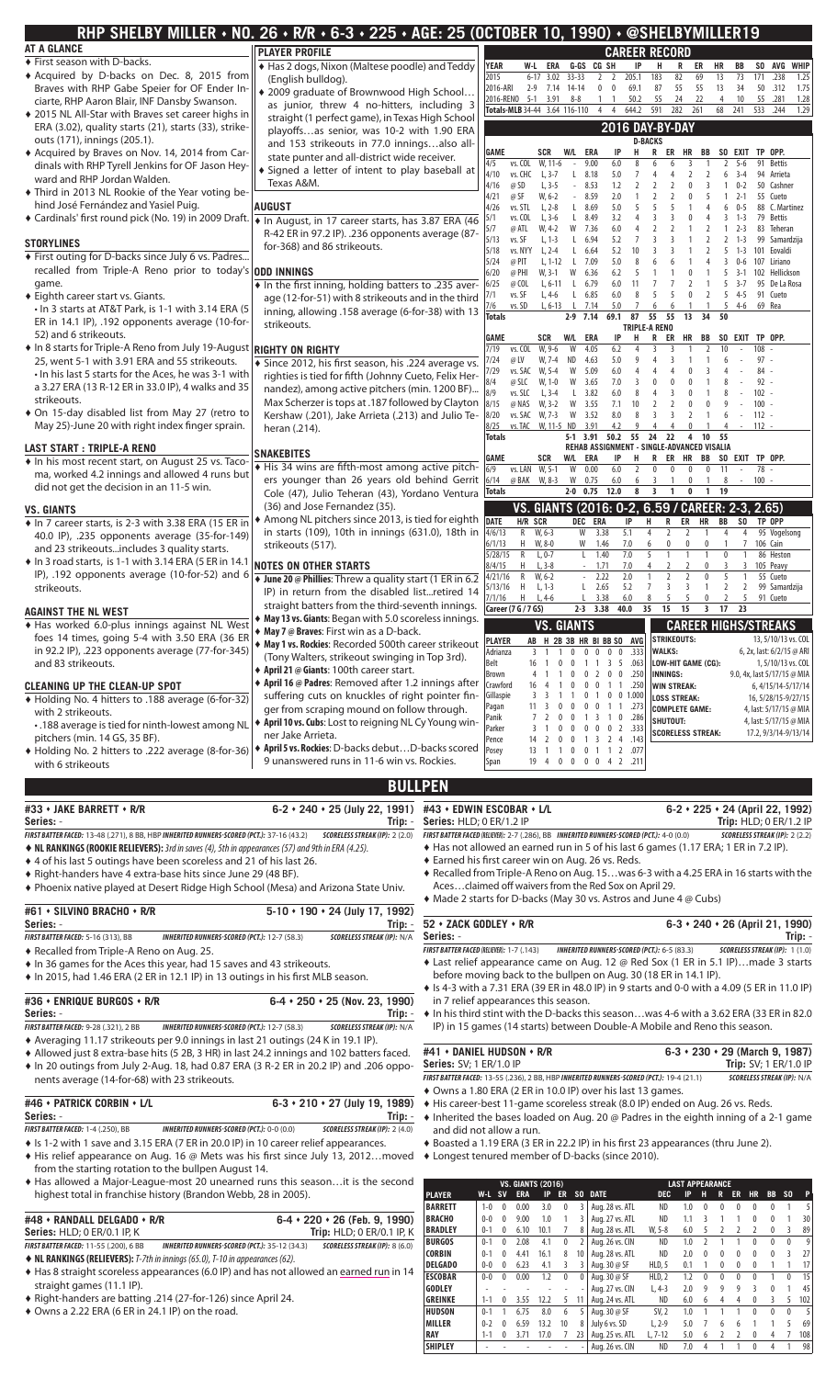| usu u<br>INIILITIN INVI<br><b>AT A GLANCE</b>                                                                                         |                                                                                              | <b>Coneld I MILLER I</b><br><b>CAREER RECORD</b>                                                                                                                                                                   |
|---------------------------------------------------------------------------------------------------------------------------------------|----------------------------------------------------------------------------------------------|--------------------------------------------------------------------------------------------------------------------------------------------------------------------------------------------------------------------|
| ♦ First season with D-backs.                                                                                                          | <b>PLAYER PROFILE</b><br>◆ Has 2 dogs, Nixon (Maltese poodle) and Teddy                      | YEAR<br>G-GS CG SH<br>ER<br>W-L<br>ERA<br>IP<br>н<br>R<br>HR<br>BB<br>SO AVG WHIP                                                                                                                                  |
| Acquired by D-backs on Dec. 8, 2015 from                                                                                              | (English bulldog).                                                                           | 205.1<br>2015<br>3.02<br>$33 - 33$<br>$\overline{2}$<br>$\overline{2}$<br>183<br>82<br>69<br>13<br>73<br>171<br>.238<br>1.25<br>$6 - 17$                                                                           |
| Braves with RHP Gabe Speier for OF Ender In-                                                                                          | ♦ 2009 graduate of Brownwood High School                                                     | 2016-ARI<br>69.1<br>87<br>55<br>55<br>13<br>2-9 7.14 14-14<br>$\mathbf{0}$<br>$\mathbf 0$<br>34<br>50 .312<br>1.75                                                                                                 |
| ciarte, RHP Aaron Blair, INF Dansby Swanson.                                                                                          | as junior, threw 4 no-hitters, including 3                                                   | 55<br>24<br>22<br>2016-RENO 5-1 3.91<br>50.2<br>1.28<br>8-8<br>$1\quad1$<br>4<br>10<br>55<br>.281                                                                                                                  |
| ♦ 2015 NL All-Star with Braves set career highs in                                                                                    |                                                                                              | 644.2<br>Totals-MLB 34-44 3.64 116-110<br>4<br>4<br>591<br>282<br>261<br>68<br>241<br>533<br>.244<br>1.29                                                                                                          |
| ERA (3.02), quality starts (21), starts (33), strike-                                                                                 | straight (1 perfect game), in Texas High School<br>playoffsas senior, was 10-2 with 1.90 ERA | 2016 DAY-BY-DAY                                                                                                                                                                                                    |
| outs (171), innings (205.1).                                                                                                          | and 153 strikeouts in 77.0 inningsalso all-                                                  | <b>D-BACKS</b>                                                                                                                                                                                                     |
| + Acquired by Braves on Nov. 14, 2014 from Car-                                                                                       | state punter and all-district wide receiver.                                                 | GAME<br><b>SCR</b><br>W/L ERA<br>IP<br>н<br>R<br>ER HR<br>BB<br>SO EXIT<br>TP OPP.                                                                                                                                 |
| dinals with RHP Tyrell Jenkins for OF Jason Hey-                                                                                      | Signed a letter of intent to play baseball at                                                | 4/5<br>vs. COL<br>W, 11-6<br>9.00<br>6.0<br>8<br>6<br>3<br>91<br><b>Bettis</b><br>$\sim$<br>2<br>$5-6$                                                                                                             |
| ward and RHP Jordan Walden.                                                                                                           | Texas A&M.                                                                                   | 4/10<br>vs. CHC L, 3-7<br>8.18<br>5.0<br>L.<br>4<br>94 Arrieta<br>7<br>2<br>6<br>-3-4                                                                                                                              |
| • Third in 2013 NL Rookie of the Year voting be-                                                                                      |                                                                                              | $L, 3-5$<br>8.53<br>1.2<br>4/16<br>@ SD<br>$\overline{2}$<br>50 Cashner<br>$0 - 2$<br>$\sim$<br>$W, 6-2$<br>$\overline{2}$<br>4/21<br>@ SF<br>8.59<br>2.0<br>$\theta$<br>55 Cueto<br>$\sim$<br>-5<br>-1<br>$2 - 1$ |
| hind José Fernández and Yasiel Puig.                                                                                                  | <b>AUGUST</b>                                                                                | 4/26<br>vs. STL<br>$L, 2-8$<br>$L$ 8.69<br>5.0<br>5<br>88 C. Martinez<br>$0 - 5$<br>6                                                                                                                              |
| Cardinals' first round pick (No. 19) in 2009 Draft.                                                                                   | • In August, in 17 career starts, has 3.87 ERA (46                                           | $L, 3-6$<br>3.2<br>5/1<br>vs. COL<br>8.49<br><b>Bettis</b><br>L.<br>3<br>$1 - 3$<br>79                                                                                                                             |
|                                                                                                                                       | R-42 ER in 97.2 IP). .236 opponents average (87-                                             | 5/7<br>W, 4-2<br>W 7.36<br>6.0<br>$\overline{1}$<br>$2 - 3$<br>83 Teheran<br>@ ATL<br>$\overline{\phantom{0}}$                                                                                                     |
| <b>STORYLINES</b>                                                                                                                     | for-368) and 86 strikeouts.                                                                  | 5/13<br>vs. SF<br>$L, 1-3$<br>6.94<br>5.2<br>L.<br>99 Samardzija<br>2<br>-1-3<br>vs. NYY L, 2-4<br>5.2<br>10<br>5/18<br>6.64<br>$1 - 3$<br>101 Eovaldi<br>L.                                                       |
| ♦ First outing for D-backs since July 6 vs. Padres                                                                                    |                                                                                              | 5/24<br>@ PIT<br>$L, 1-12$<br>$L$ 7.09<br>5.0<br>8<br>6<br>3<br>0-6<br>107 Liriano                                                                                                                                 |
| recalled from Triple-A Reno prior to today's                                                                                          | <b>ODD INNINGS</b>                                                                           | 6/20<br>@ PHI<br>W, 3-1<br>W 6.36<br>6.2<br>102 Hellickson<br>-5<br>0<br>5<br>3-1                                                                                                                                  |
| game.                                                                                                                                 | + In the first inning, holding batters to .235 aver-                                         | 6/25<br>@ COL<br>$L, 6-11$<br>6.79<br>6.0<br>11<br>$3 - 7$<br>95 De La Rosa<br>L.<br>5                                                                                                                             |
| ♦ Eighth career start vs. Giants.                                                                                                     | age (12-for-51) with 8 strikeouts and in the third                                           | 7/1<br>vs. SF<br>L, 4-6<br>$L$ 6.85<br>6.0<br>$\boldsymbol{8}$<br>5<br>$\Omega$<br>$\overline{2}$<br>$54-5$<br>91 Cueto<br>5                                                                                       |
| • In 3 starts at AT&T Park, is 1-1 with 3.14 ERA (5                                                                                   | inning, allowing .158 average (6-for-38) with 13                                             | 7/6<br>vs. SD<br>$L, 6-13$<br>$L$ 7.14<br>5.0<br>5<br>$4 - 6$<br>6<br>$\overline{1}$<br>$\overline{1}$<br>69 Rea<br>6<br><b>Totals</b><br>69.1 87 55 55 13 34<br>- 50<br>$2-9$ 7.14                                |
| ER in 14.1 IP), .192 opponents average (10-for-                                                                                       | strikeouts.                                                                                  | TRIPLE-A RENO                                                                                                                                                                                                      |
| 52) and 6 strikeouts.                                                                                                                 |                                                                                              | GAME<br><b>SCR</b><br>W/L ERA<br>IP<br>SO EXIT TP OPP.<br>н<br>R ER<br>HR<br>BB                                                                                                                                    |
| • In 8 starts for Triple-A Reno from July 19-August                                                                                   | <b>RIGHTY ON RIGHTY</b>                                                                      | W<br>4.05<br>108<br>7/19<br>vs. COL<br>W, 9-6<br>6.2<br>10                                                                                                                                                         |
| 25, went 5-1 with 3.91 ERA and 55 strikeouts.                                                                                         | ◆ Since 2012, his first season, his .224 average vs.                                         | 7/24<br>@ LV<br>W, 7-4<br>ND<br>4.63<br>5.0<br>9<br>3<br>$97 -$<br>6                                                                                                                                               |
| . In his last 5 starts for the Aces, he was 3-1 with                                                                                  | righties is tied for fifth (Johnny Cueto, Felix Her-                                         | 7/29<br>vs. SAC W, 5-4<br>W<br>5.09<br>6.0<br>$\overline{4}$<br>$84 -$<br>$\overline{4}$<br>8/4<br>W<br>7.0<br>@ SLC<br>W, 1-0<br>3.65<br>$\overline{3}$<br>$\mathbf{0}$<br>$92 -$                                 |
| a 3.27 ERA (13 R-12 ER in 33.0 IP), 4 walks and 35                                                                                    | nandez), among active pitchers (min. 1200 BF)                                                | 8/9<br>3<br>vs. SLC<br>L, 3-4<br>L.<br>3.82<br>6.0<br>8<br>$\Omega$<br>$102 -$                                                                                                                                     |
| strikeouts.                                                                                                                           | Max Scherzer is tops at .187 followed by Clayton                                             | 8/15<br>@ NAS<br>W, 3-2<br>$W$ 3.55<br>7.1<br>10<br>2<br>$100 -$<br>$\theta$                                                                                                                                       |
| ◆ On 15-day disabled list from May 27 (retro to                                                                                       | Kershaw (.201), Jake Arrieta (.213) and Julio Te-                                            | W<br>3.52<br>8.0<br>8/20<br>vs. SAC W, 7-3<br>8<br>3<br>$112 -$<br>$\overline{2}$                                                                                                                                  |
| May 25)-June 20 with right index finger sprain.                                                                                       | heran (.214).                                                                                | 8/25<br>vs. TAC W, 11-5 ND 3.91<br>4.2<br>9<br>4<br>$\mathbf{0}$<br>$\sim$<br>$112 -$<br>4<br>Totals<br>50.2 55<br>24<br>22<br>5-1 3.91<br>10<br>- 55<br>4                                                         |
| <b>LAST START : TRIPLE-A RENO</b>                                                                                                     |                                                                                              | REHAB ASSIGNMENT - SINGLE-ADVANCED VISALIA                                                                                                                                                                         |
| • In his most recent start, on August 25 vs. Taco-                                                                                    | <b>SNAKEBITES</b>                                                                            | GAME<br>W/L<br>ERA<br>IP<br>н<br>R ER HR BB SO EXIT TP OPP.<br>SCR                                                                                                                                                 |
| ma, worked 4.2 innings and allowed 4 runs but                                                                                         | His 34 wins are fifth-most among active pitch-                                               | 6/9<br>vs. LAN W, 5-1<br>W<br>0.00<br>6.0<br>$\bm{0}$<br>78 -<br>2<br>0<br>0<br>11<br>$^{\circ}$                                                                                                                   |
| did not get the decision in an 11-5 win.                                                                                              | ers younger than 26 years old behind Gerrit                                                  | 6/14<br>@ BAK W, 8-3 W<br>0.75<br>6.0<br>6<br>$- 100 -$<br>3<br>$\overline{1}$<br>$\mathbf{0}$<br>8<br>2-0 0.75 12.0<br>8<br>$\overline{\mathbf{3}}$<br>$\overline{1}$<br>Totals<br>$\mathbf 0$<br>1 19            |
|                                                                                                                                       | Cole (47), Julio Teheran (43), Yordano Ventura                                               |                                                                                                                                                                                                                    |
| <b>VS. GIANTS</b>                                                                                                                     | (36) and Jose Fernandez (35).<br>♦ Among NL pitchers since 2013, is tied for eighth DATE     | VS. GIANTS (2016: 0-2, 6.59 / CAREER: 2-3, 2.65)                                                                                                                                                                   |
| In 7 career starts, is 2-3 with 3.38 ERA (15 ER in                                                                                    | in starts (109), 10th in innings (631.0), 18th in                                            | H/R SCR<br>DEC ERA<br>IP<br>R<br>ER<br>SO<br>TP OPP<br>н<br>HR<br>BB<br>4/6/13<br>W, 6-3<br>3.38<br>5.1<br>$\overline{2}$<br>95 Vogelsong<br>R<br>W<br>$\overline{4}$<br>2<br>4<br>4<br>$\mathbf{1}$               |
| 40.0 IP), .235 opponents average (35-for-149)                                                                                         | strikeouts (517).                                                                            | H<br>6/1/13<br>$W, 8-0$<br>W<br>1.46<br>7.0<br>$\mathbf{0}$<br>0<br>$\mathbf{0}$<br>7<br>106 Cain<br>6                                                                                                             |
| and 23 strikeoutsincludes 3 quality starts.                                                                                           |                                                                                              | 1.40<br>7.0<br>5/28/15<br>R<br>$L, 0-7$<br>L<br>5<br>86 Heston<br>0                                                                                                                                                |
| $\bullet$ In 3 road starts, is 1-1 with 3.14 ERA (5 ER in 14.1)                                                                       | <b>NOTES ON OTHER STARTS</b>                                                                 | 8/4/15<br>H<br>$L, 3-8$<br>1.71<br>7.0<br>$\overline{2}$<br>$\overline{2}$<br>$\mathbf{0}$<br>3<br>3<br>105 Peavy                                                                                                  |
| IP), .192 opponents average (10-for-52) and 6                                                                                         | ◆ June 20 @ Phillies: Threw a quality start (1 ER in 6.2                                     | 2.22<br>2.0<br>4/21/16<br>R<br>$W, 6-2$<br>$\overline{2}$<br>$\overline{2}$<br>$\theta$<br>5<br>55 Cueto                                                                                                           |
| strikeouts.                                                                                                                           | IP) in return from the disabled listretired 14                                               | 5.2<br>$L$ 2.65<br>3<br>3<br>2<br>5/13/16<br>H<br>L, 1-3<br>7<br>2<br>99 Samardzija<br>$L, 4-6$<br>3.38<br>5<br>5<br>7/1/16<br>Н<br>6.0<br>8<br>5<br>$\mathbf{0}$<br>$\overline{2}$<br>91 Cueto                    |
| <b>AGAINST THE NL WEST</b>                                                                                                            | straight batters from the third-seventh innings.                                             | Career (7 G / 7 GS)<br>2-3 3.38 40.0 35<br>15<br>3 17 23<br>15                                                                                                                                                     |
| + Has worked 6.0-plus innings against NL West                                                                                         | ♦ May 13 vs. Giants: Began with 5.0 scoreless innings.                                       | <b>VS. GIANTS</b><br><b>CAREER HIGHS/STREAKS</b>                                                                                                                                                                   |
| foes 14 times, going 5-4 with 3.50 ERA (36 ER                                                                                         | ◆ May 7 @ Braves: First win as a D-back.                                                     | <b>STRIKEOUTS:</b><br>13, 5/10/13 vs. COL                                                                                                                                                                          |
| in 92.2 IP), .223 opponents average (77-for-345)                                                                                      | ♦ May 1 vs. Rockies: Recorded 500th career strikeout                                         | AB H 2B 3B HR BI BB SO AVG<br><b>PLAYER</b><br>6, 2x, last: 6/2/15 @ ARI<br><b>WALKS:</b><br>Adrianza<br>$\mathbf{0}$<br>0 0 0 0<br>.333                                                                           |
| and 83 strikeouts.                                                                                                                    | (Tony Walters, strikeout swinging in Top 3rd).                                               | Belt<br>LOW-HIT GAME (CG):<br>1, 5/10/13 vs. COL<br>0 0 1 1 3 5 .063<br>16 1                                                                                                                                       |
|                                                                                                                                       | ◆ April 21 @ Giants: 100th career start.                                                     | Brown<br>2 0 0 .250<br><b>INNINGS:</b><br>9.0, 4x, last 5/17/15 @ MIA<br>0<br>$\mathbf 0$                                                                                                                          |
| <b>CLEANING UP THE CLEAN-UP SPOT</b>                                                                                                  | ◆ April 16 @ Padres: Removed after 1.2 innings after                                         | Crawford<br>$0 \t0 \t1 \t1 \t.250$<br>$\boldsymbol{0}$<br><b>WIN STREAK:</b><br>6, 4/15/14-5/17/14                                                                                                                 |
| ♦ Holding No. 4 hitters to .188 average (6-for-32)                                                                                    | suffering cuts on knuckles of right pointer fin-                                             | Gillaspie<br>1 1 0 1 0 0 1.000<br>3 3<br><b>LOSS STREAK:</b><br>16, 5/28/15-9/27/15<br>Pagan<br>$\bf{0}$<br>0 0 0 1 1 .273                                                                                         |
| with 2 strikeouts.                                                                                                                    | ger from scraping mound on follow through.                                                   | <b>COMPLETE GAME:</b><br>4, last: 5/17/15 @ MIA<br>0 0 1 3 1 0 .286<br>Panik<br>SHUTOUT:                                                                                                                           |
| .188 average is tied for ninth-lowest among NL                                                                                        | ♦ April 10 vs. Cubs: Lost to reigning NL Cy Young win-                                       | 4, last: 5/17/15 @ MIA<br>Parker<br>0 0 0 0 0 2 .333<br>3 1<br><b>SCORELESS STREAK:</b><br>17.2, 9/3/14-9/13/14                                                                                                    |
| pitchers (min. 14 GS, 35 BF).                                                                                                         | ner Jake Arrieta.<br>♦ April 5 vs. Rockies: D-backs debutD-backs scored                      | Pence<br>0 0 1 3 2 4 .143<br><sup>2</sup>                                                                                                                                                                          |
| ♦ Holding No. 2 hitters to .222 average (8-for-36)                                                                                    |                                                                                              | Posey<br>13 1 1 0 0 1 1 2 .077                                                                                                                                                                                     |
| with 6 strikeouts                                                                                                                     | 9 unanswered runs in 11-6 win vs. Rockies.                                                   | 19  4  0  0  0  0  4  2  .211<br>Span                                                                                                                                                                              |
|                                                                                                                                       | <b>BULLPEN</b>                                                                               |                                                                                                                                                                                                                    |
|                                                                                                                                       |                                                                                              |                                                                                                                                                                                                                    |
| #33 • JAKE BARRETT • R/R                                                                                                              | 6-2 + 240 + 25 (July 22, 1991) #43 + EDWIN ESCOBAR + L/L                                     | $6-2 \cdot 225 \cdot 24$ (April 22, 1992)                                                                                                                                                                          |
| Series: -                                                                                                                             | Series: HLD; 0 ER/1.2 IP<br>Trip: -                                                          | Trip: $HLD$ ; $O ER/1.2 IP$<br>SCORELESS STREAK (IP): 2 (2.2)                                                                                                                                                      |
| FIRST BATTER FACED: 13-48 (.271), 8 BB, HBP INHERITED RUNNERS-SCORED (PCT.): 37-16 (43.2)                                             | <b>SCORELESS STREAK (IP): 2 (2.0)</b>                                                        | FIRST BATTER FACED (RELIEVER): 2-7 (.286), BB INHERITED RUNNERS-SCORED (PCT.): 4-0 (0.0)<br>$\triangle$ Has not allowed an earned run in 5 of his last 6 games (1.17 ERA; 1 ER in 7.2 IP).                         |
| $\blacklozenge$ NL RANKINGS (ROOKIE RELIEVERS): 3rd in saves (4), 5th in appearances (57) and 9th in ERA (4.25).                      |                                                                                              | ♦ Earned his first career win on Aug. 26 vs. Reds.                                                                                                                                                                 |
| ♦ 4 of his last 5 outings have been scoreless and 21 of his last 26.<br>♦ Right-handers have 4 extra-base hits since June 29 (48 BF). |                                                                                              | ♦ Recalled from Triple-A Reno on Aug. 15was 6-3 with a 4.25 ERA in 16 starts with the                                                                                                                              |
| ♦ Phoenix native played at Desert Ridge High School (Mesa) and Arizona State Univ.                                                    |                                                                                              | Acesclaimed off waivers from the Red Sox on April 29.                                                                                                                                                              |

**RHP SHELBY MILLER** ♦ **NO. 26** ♦ **R/R** ♦ **6-3** ♦ **225** ♦ **AGE: 25 (OCTOBER 10, 1990)** ♦ **@SHELBYMILLER19**

| $52 \cdot ZACK GODLEY \cdot R/R$          |                                                    | $6-3 \cdot 240 \cdot 26$ (April 21, 1990) |
|-------------------------------------------|----------------------------------------------------|-------------------------------------------|
| Series: -                                 |                                                    | $Trip: -$                                 |
| FIRST BATTER FACED (RELIEVER): 1-7 (.143) | <b>INHERITED RUNNERS-SCORED (PCT.): 6-5 (83.3)</b> | <b>SCORELESS STREAK (IP): 1 (1.0)</b>     |

♦ Is 4-3 with a 7.31 ERA (39 ER in 48.0 IP) in 9 starts and 0-0 with a 4.09 (5 ER in 11.0 IP)

♦ In his third stint with the D-backs this season…was 4-6 with a 3.62 ERA (33 ER in 82.0 IP) in 15 games (14 starts) between Double-A Mobile and Reno this season.

| #41 $\cdot$ Daniel Hudson $\cdot$ R/R<br><b>Series: SV: 1 ER/1.0 IP</b>                  | $6-3$ + 230 + 29 (March 9, 1987)<br>Trip: SV; 1 ER/1.0 IP |
|------------------------------------------------------------------------------------------|-----------------------------------------------------------|
| FIRST BATTER FACED: 13-55 (.236). 2 BB. HBP INHERITED RUNNERS-SCORED (PCT.): 19-4 (21.1) | <b>SCORELESS STREAK (IP): N/A</b>                         |

- ♦ Owns a 1.80 ERA (2 ER in 10.0 IP) over his last 13 games.
- ♦ His career-best 11-game scoreless streak (8.0 IP) ended on Aug. 26 vs. Reds. ♦ Inherited the bases loaded on Aug. 20 @ Padres in the eighth inning of a 2-1 game
- and did not allow a run. ◆ Boasted a 1.19 ERA (3 ER in 22.2 IP) in his first 23 appearances (thru June 2).
- ♦ Longest tenured member of D-backs (since 2010).

| <b>VS. GIANTS (2016)</b> |         |           |      |      |           |     |                 | <b>LAST APPEARANCE</b> |     |               |          |              |                          |           |           |     |
|--------------------------|---------|-----------|------|------|-----------|-----|-----------------|------------------------|-----|---------------|----------|--------------|--------------------------|-----------|-----------|-----|
| <b>PLAYER</b>            | W-L     | <b>SV</b> | ERA  | IP   | <b>ER</b> | SO. | <b>DATE</b>     | <b>DEC</b>             | IP  | н             | R        | ER           | <b>HR</b>                | <b>BB</b> | <b>SO</b> | P   |
| <b>BARRETT</b>           | $1 - 0$ | 0         | 0.00 | 3.0  | $\Omega$  |     | Aug. 28 vs. ATL | <b>ND</b>              | 1.0 | 0             | 0        | 0            | 0                        | U         |           | 5   |
| <b>BRACHO</b>            | $0 - 0$ | 0         | 9.00 | 1.0  |           |     | Aug. 27 vs. ATL | <b>ND</b>              | 1.1 | ξ             |          |              | 0                        | 0         |           | 30  |
| <b>BRADLEY</b>           | $0 - 1$ | 0         | 6.10 | 10.1 |           | 8   | Aug. 28 vs. ATL | $W. 5-8$               | 6.0 | 5             |          |              | $\overline{\phantom{a}}$ | $\Omega$  | 3         | 89  |
| <b>BURGOS</b>            | $0 - 1$ | $\Omega$  | 2.08 | 4.1  | $\Omega$  |     | Aug. 26 vs. CIN | <b>ND</b>              | 1.0 | $\mathfrak z$ |          |              | 0                        | $\Omega$  | $\Omega$  | 9   |
| <b>CORBIN</b>            | $0 - 1$ | 0         | 4.41 | 16.1 | 8         | 10  | Aug. 28 vs. ATL | <b>ND</b>              | 2.0 | 0             | $\Omega$ | $\Omega$     | 0                        | $\Omega$  | ξ         | 27  |
| <b>DELGADO</b>           | $0 - 0$ | 0         | 6.23 | 4.1  | ξ         |     | Aug. 30 @ SF    | HLD. 5                 | 0.1 |               | $\Omega$ | $\mathbf{0}$ | 0                        |           |           | 17  |
| <b>ESCOBAR</b>           | $0 - 0$ | 0         | 0.00 | 1.2  | $\Omega$  |     | Aug. 30 @ SF    | HLD, 2                 | 1.2 | 0             | $\Omega$ | $\Omega$     | 0                        |           | $\Omega$  | 15  |
| <b>GODLEY</b>            |         |           | ٠    |      |           |     | Aug. 27 vs. CIN | $L.4-3$                | 2.0 | 9             | 9        | 9            | ξ                        | $\Omega$  |           | 45  |
| <b>GREINKE</b>           | $1 - 1$ | 0         | 3.55 | 12.2 | 5         | 11  | Aug. 24 vs. ATL | <b>ND</b>              | 6.0 | 6             | 4        | 4            | 0                        | ς         | 5         | 102 |
| <b>HUDSON</b>            | $0 - 1$ |           | 6.75 | 8.0  | 6         |     | Aug. 30 @ SF    | SV, 2                  | 1.0 |               |          |              | $\bf{0}$                 | $\Omega$  | 0         |     |
| <b>MILLER</b>            | $0 - 2$ | 0         | 6.59 | 13.2 | 10        | 8   | July 6 vs. SD   | $L.2-9$                | 5.0 | 7             | 6        | 6            |                          |           | 5         | 69  |
| <b>RAY</b>               | 1-1     | 0         | 3.71 | 17.0 |           | 23  | Aug. 25 vs. ATL | $L.7-12$               | 5.0 | 6             |          |              | 0                        | 4         |           | 108 |
| <b>SHIPLEY</b>           |         |           |      |      |           |     | Aug. 26 vs. CIN | <b>ND</b>              | 7.0 | 4             |          |              | 0                        | 4         |           | 98  |

**FIRST BATTER FACED:** 5-16 (313), BB **INHERITED RUNNERS-SCORED (PCT.):** 12-7 (58.3) **SCORELESS STREAK (IP):** N/A ♦ Recalled from Triple-A Reno on Aug. 25.

- ♦ In 36 games for the Aces this year, had 15 saves and 43 strikeouts.
- $\blacklozenge$  In 2015, had 1.46 ERA (2 ER in 12.1 IP) in 13 outings in his first MLB season.

#### **#36 ENRIQUE BURGOS R/R 6-4 250 25 (Nov. 23, 1990) Series:** - **Trip:** - **FIRST BATTER FACED:** 9-28 (.321), 2 BB **INHERITED RUNNERS-SCORED (PCT.):** 12-7 (58.3) **SCORELESS STREAK (IP):** N/A

**Series:** - **Trip:** -

- 
- ♦ Averaging 11.17 strikeouts per 9.0 innings in last 21 outings (24 K in 19.1 IP).
- ♦ Allowed just 8 extra-base hits (5 2B, 3 HR) in last 24.2 innings and 102 batters faced. ♦ In 20 outings from July 2-Aug. 18, had 0.87 ERA (3 R-2 ER in 20.2 IP) and .206 opponents average (14-for-68) with 23 strikeouts.

#### **#46 PATRICK CORBIN L/L 6-3 210 27 (July 19, 1989) Series:** - **Trip:** - **FIRST BATTER FACED:** 1-4 (.250), BB **INHERITED RUNNERS-SCORED (PCT.):** 0-0 (0.0) **SCORELESS STREAK (IP):** 2 (4.0)

- ♦ Is 1-2 with 1 save and 3.15 ERA (7 ER in 20.0 IP) in 10 career relief appearances.
- $\blacklozenge$  His relief appearance on Aug. 16 @ Mets was his first since July 13, 2012...moved from the starting rotation to the bullpen August 14.
- ♦ Has allowed a Major-League-most 20 unearned runs this season…it is the second highest total in franchise history (Brandon Webb, 28 in 2005).

| #48 + RANDALL DELGADO + R/R                                                             |                                                      | $6-4 \cdot 220 \cdot 26$ (Feb. 9. 1990) |  |  |  |  |  |
|-----------------------------------------------------------------------------------------|------------------------------------------------------|-----------------------------------------|--|--|--|--|--|
| <b>Series:</b> HLD: 0 ER/0.1 IP. K                                                      |                                                      | Trip: HLD; 0 ER/0.1 IP, K               |  |  |  |  |  |
| <b>FIRST BATTER FACED: 11-55 (.200). 6 BB</b>                                           | <b>INHERITED RUNNERS-SCORED (PCT.): 35-12 (34.3)</b> | <b>SCORELESS STREAK (IP): 8 (6.0)</b>   |  |  |  |  |  |
| $\triangle$ NI RANKINGS (RELIEVERS). T. 7th in innings (65.0) T. 10 in annearances (62) |                                                      |                                         |  |  |  |  |  |

- ♦**NL RANKINGS (RELIEVERS):** T-7th in innings (65.0), T-10 in appearances (62).
- ♦ Has 8 straight scoreless appearances (6.0 IP) and has not allowed an earned run in 14 straight games (11.1 IP).
- ♦ Right-handers are batting .214 (27-for-126) since April 24.
- ♦ Owns a 2.22 ERA (6 ER in 24.1 IP) on the road.
- 
- ♦ Made 2 starts for D-backs (May 30 vs. Astros and June 4 @ Cubs)

**#61 SILVINO BRACHO R/R 5-10 190 24 (July 17, 1992)**

♦ Last relief appearance came on Aug. 12 @ Red Sox (1 ER in 5.1 IP)…made 3 starts before moving back to the bullpen on Aug. 30 (18 ER in 14.1 IP).

in 7 relief appearances this season.

| #41 $\cdot$ Daniel Hudson $\cdot$ R/R                                                    | $6-3$ + 230 + 29 (March 9, 1987)  |
|------------------------------------------------------------------------------------------|-----------------------------------|
| <b>Series: SV: 1 ER/1.0 IP</b>                                                           | Trip: SV; 1 ER/1.0 IP             |
| FIRST BATTER FACED: 13-55 (.236). 2 BB. HBP INHERITED RUNNERS-SCORED (PCT.): 19-4 (21.1) | <b>SCORELESS STREAK (IP): N/A</b> |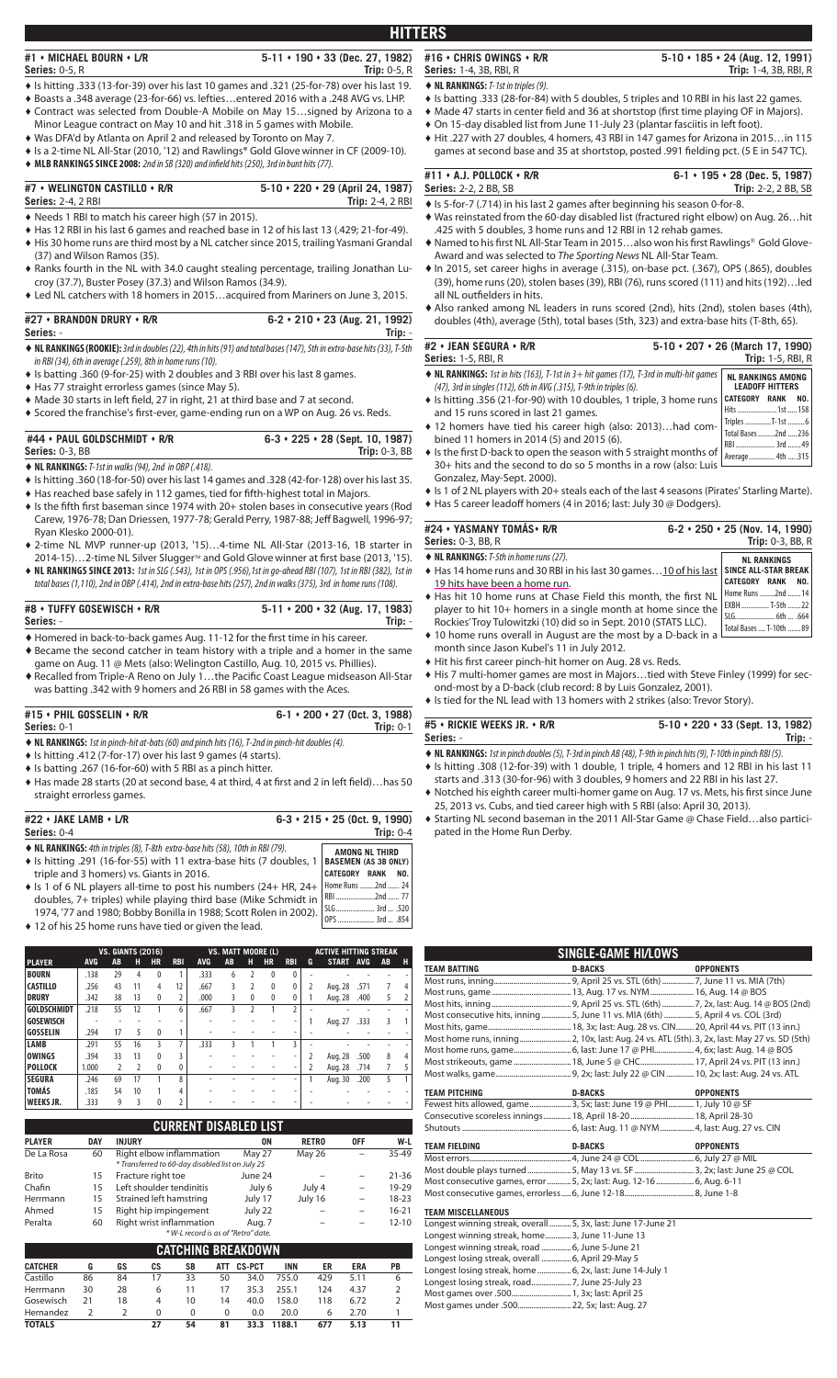## **#1 MICHAEL BOURN L/R 5-11 190 33 (Dec. 27, 1982) Series:** 0-5, R **Trip:** 0-5, R

- ♦ Is hitting .333 (13-for-39) over his last 10 games and .321 (25-for-78) over his last 19.
- ♦ Boasts a .348 average (23-for-66) vs. lefties…entered 2016 with a .248 AVG vs. LHP.
- ♦ Contract was selected from Double-A Mobile on May 15…signed by Arizona to a Minor League contract on May 10 and hit .318 in 5 games with Mobile.
- ♦ Was DFA'd by Atlanta on April 2 and released by Toronto on May 7.
- ♦ Is a 2-time NL All-Star (2010, '12) and Rawlings® Gold Glovewinner in CF (2009-10).
- ◆ MLB RANKINGS SINCE 2008: 2nd in SB (320) and infield hits (250), 3rd in bunt hits (77).

# **#7 WELINGTON CASTILLO R/R 5-10 220 29 (April 24, 1987)**

- **Series: 2-4, 2 RBI**
- ♦ Needs 1 RBI to match his career high (57 in 2015).
- ♦ Has 12 RBI in his last 6 games and reached base in 12 of his last 13 (.429; 21-for-49). ♦ His 30 home runs are third most by a NL catcher since 2015, trailing Yasmani Grandal
- (37) and Wilson Ramos (35). ♦ Ranks fourth in the NL with 34.0 caught stealing percentage, trailing Jonathan Lu-
- croy (37.7), Buster Posey (37.3) and Wilson Ramos (34.9). ♦ Led NL catchers with 18 homers in 2015…acquired from Mariners on June 3, 2015.

### **#27 BRANDON DRURY R/R 6-2 210 23 (Aug. 21, 1992) Series:** - **Trip:** -

- ♦**NL RANKINGS (ROOKIE):** 3rd in doubles (22), 4th in hits (91) and total bases (147), 5th in extra-base hits (33), T-5th in RBI (34), 6th in average (.259), 8th in home runs (10).
- ♦ Is batting .360 (9-for-25) with 2 doubles and 3 RBI over his last 8 games.
- ♦ Has 77 straight errorless games (since May 5).
- Made 30 starts in left field, 27 in right, 21 at third base and 7 at second.
- Scored the franchise's first-ever, game-ending run on a WP on Aug. 26 vs. Reds.

## **#44 PAUL GOLDSCHMIDT R/R 6-3 225 28 (Sept. 10, 1987) Series:** 0-3, BB **Trip:** 0-3, BB

♦**NL RANKINGS:** T-1st in walks (94), 2nd in OBP (.418).

- ♦ Is hitting .360 (18-for-50) over his last 14 games and .328 (42-for-128) over his last 35.
- $\blacklozenge$  Has reached base safely in 112 games, tied for fifth-highest total in Majors.  $\bullet$  Is the fifth first baseman since 1974 with 20+ stolen bases in consecutive years (Rod Carew, 1976-78; Dan Driessen, 1977-78; Gerald Perry, 1987-88; Jeff Bagwell, 1996-97;
- Ryan Klesko 2000-01). ♦ 2-time NL MVP runner-up (2013, '15)…4-time NL All-Star (2013-16, 1B starter in
- 2014-15)...2-time NL Silver Slugger™ and Gold Glove winner at first base (2013, '15).
- ♦ **NL RANKINGS SINCE 2013:** 1st in SLG (.543), 1st in OPS (.956),1st in go-ahead RBI (107), 1st in RBI (382), 1st in total bases (1,110), 2nd in OBP (.414), 2nd in extra-base hits (257), 2nd in walks (375), 3rd in home runs (108).

#### **#8 TUFFY GOSEWISCH R/R 5-11 200 32 (Aug. 17, 1983) Series:** - **Trip:** -

- $\blacklozenge$  Homered in back-to-back games Aug. 11-12 for the first time in his career.
- ♦Became the second catcher in team history with a triple and a homer in the same game on Aug. 11 @ Mets (also: Welington Castillo, Aug. 10, 2015 vs. Phillies).
- $\blacklozenge$  Recalled from Triple-A Reno on July 1...the Pacific Coast League midseason All-Star was batting .342 with 9 homers and 26 RBI in 58 games with the Aces.

| #15 + PHIL GOSSELIN + R/R                                                                                 | $6-1 \cdot 200 \cdot 27$ (0ct. 3, 1988) |
|-----------------------------------------------------------------------------------------------------------|-----------------------------------------|
| <b>Series:</b> 0-1                                                                                        | Trip: $0-1$                             |
| $\triangle$ NI DANKINCS, Let in pinch bit at bats (60) and pinch bits (16) T Ind in pinch bit doubles (1) |                                         |

- hit at-bats (60) and pinch hits (16), T-2nd in pinch-hit doubles (4) ♦ Is hitting .412 (7-for-17) over his last 9 games (4 starts).
- $\triangle$  Is batting .267 (16-for-60) with 5 RBI as a pinch hitter.
- $\blacklozenge$  Has made 28 starts (20 at second base, 4 at third, 4 at first and 2 in left field)...has 50 straight errorless games.

| #22 + JAKE LAMB + L/R                                                                          | $6-3 \cdot 215 \cdot 25$ (0ct. 9, 1990)               |
|------------------------------------------------------------------------------------------------|-------------------------------------------------------|
| <b>Series:</b> 0-4                                                                             | Trip: $0-4$                                           |
| $\blacklozenge$ NL RANKINGS: 4th in triples (8), T-8th extra-base hits (58), 10th in RBI (79). | AMONG NL THIRD                                        |
| A la bittima (2014) 16 fau EE) with 11 avenue base bits (7 devlales )                          | $R$ a consequent $\lambda$ and $\lambda$ consequently |

| • Is hitting .291 (16-for-55) with 11 extra-base hits (7 doubles, 1   BASEMEN (AS 3B ONLY)            |                          |  |
|-------------------------------------------------------------------------------------------------------|--------------------------|--|
| triple and 3 homers) vs. Giants in 2016.                                                              | <b>CATEGORY RANK NO.</b> |  |
| $\bullet$ Is 1 of 6 NL players all-time to post his numbers (24+ HR, 24+ $\vert$ Home Runs 2nd  24    |                          |  |
| doubles, 7+ triples) while playing third base (Mike Schmidt in   RBI  77                              |                          |  |
| سور سال ۱۹۲۸ - سیست سند ۱۹۷۵.<br>1974, "To and 1980; Bobby Bonilla in 1988; Scott Rolen in 2002). 198 |                          |  |
|                                                                                                       |                          |  |

♦ 12 of his 25 home runs have tied or given the lead.

|                    |            | <b>VS. GIANTS (2016)</b> |                          |              |                |            | <b>VS. MATT MOORE (L)</b> |                          |              |                |   | <b>ACTIVE HITTING STREAK</b> |            |    |   |
|--------------------|------------|--------------------------|--------------------------|--------------|----------------|------------|---------------------------|--------------------------|--------------|----------------|---|------------------------------|------------|----|---|
| <b>PLAYER</b>      | <b>AVG</b> | AB                       | н                        | <b>HR</b>    | <b>RBI</b>     | <b>AVG</b> | AB                        | н                        | <b>HR</b>    | <b>RBI</b>     | G | <b>START</b>                 | <b>AVG</b> | AB | н |
| <b>BOURN</b>       | .138       | 29                       | 4                        | 0            |                | .333       | 6                         |                          | $\mathbf{0}$ | $\Omega$       |   |                              |            |    |   |
| <b>CASTILLO</b>    | .256       | 43                       | 11                       | 4            | 12             | .667       | 3                         | $\overline{\phantom{a}}$ | $\mathbf{0}$ | 0              |   | Aug. 28                      | .571       | 7  |   |
| <b>DRURY</b>       | .342       | 38                       | 13                       | $\mathbf{0}$ | $\overline{2}$ | .000       | 3                         | $\mathbf{0}$             | $\mathbf{0}$ | 0              |   | Aug. 28                      | .400       | 5  |   |
| <b>GOLDSCHMIDT</b> | .218       | 55                       | 12                       |              | 6              | .667       | 3                         |                          |              | $\overline{2}$ |   |                              |            |    |   |
| <b>GOSEWISCH</b>   |            | ٠                        |                          |              | ۰              |            |                           |                          |              |                |   | Aug. 27                      | .333       | ξ  |   |
| <b>GOSSELIN</b>    | .294       | 17                       | 5                        | 0            | 1              |            |                           |                          |              |                |   |                              |            |    |   |
| LAMB               | .291       | 55                       | 16                       | 3            | 7              | .333       | ζ                         |                          |              | ζ              |   |                              |            |    |   |
| <b>OWINGS</b>      | .394       | 33                       | 13                       | $\Omega$     | ζ              |            |                           |                          |              |                |   | Aug. 28                      | .500       | 8  |   |
| <b>POLLOCK</b>     | 1.000      | $\overline{2}$           | $\overline{\phantom{a}}$ | $\Omega$     | 0              |            |                           |                          |              |                |   | Aug. 28                      | .714       |    |   |
| <b>SEGURA</b>      | .246       | 69                       | 17                       |              | 8              |            |                           |                          |              |                |   | Aug. 30                      | .200       | 5  |   |
| <b>TOMÁS</b>       | .185       | 54                       | 10                       |              | 4              |            |                           |                          |              |                |   |                              |            |    |   |
| <b>WEEKS JR.</b>   | .333       | 9                        | 3                        |              | $\overline{2}$ |            |                           |                          |              |                |   |                              |            |    |   |

|               |            | <b>CURRENT DISABLED LIST</b>                                                 |         |              |                          |           |
|---------------|------------|------------------------------------------------------------------------------|---------|--------------|--------------------------|-----------|
| <b>PLAYER</b> | <b>DAY</b> | <b>INJURY</b>                                                                | ON      | <b>RETRO</b> | <b>OFF</b>               | W-L       |
| De La Rosa    | 60         | Right elbow inflammation<br>* Transferred to 60-day disabled list on July 25 | May 27  | May 26       |                          | 35-49     |
| <b>Brito</b>  | 15         | Fracture right toe                                                           | June 24 |              |                          | $21 - 36$ |
| Chafin        | 15         | Left shoulder tendinitis                                                     | July 6  | July 4       | $\overline{\phantom{0}}$ | 19-29     |
| Herrmann      | 15         | Strained left hamstring                                                      | July 17 | July 16      | -                        | 18-23     |
| Ahmed         | 15         | Right hip impingement                                                        | July 22 |              | -                        | $16 - 21$ |
| Peralta       | 60         | Right wrist inflammation<br>* W-L record is as of "Retro" date.              | Aug. 7  |              | -                        | $12 - 10$ |

| * W-L record is as of "Refro" date. |    |    |          |          |            |               |            |     |            |    |
|-------------------------------------|----|----|----------|----------|------------|---------------|------------|-----|------------|----|
| <b>CATCHING BREAKDOWN</b>           |    |    |          |          |            |               |            |     |            |    |
| <b>CATCHER</b>                      | G  | GS | СS       | SB       | <b>ATT</b> | <b>CS-PCT</b> | <b>INN</b> | ER  | <b>ERA</b> | PB |
| Castillo                            | 86 | 84 | 17       | 33       | 50         | 34.0          | 755.0      | 429 | 5.11       | 6  |
| Herrmann                            | 30 | 28 | 6        | 11       | 17         | 35.3          | 255.1      | 124 | 4.37       |    |
| Gosewisch                           | 21 | 18 | 4        | 10       | 14         | 40.0          | 158.0      | 118 | 6.72       |    |
| Hernandez                           |    |    | $\Omega$ | $\Omega$ | $\Omega$   | 0.0           | 20.0       | 6   | 2.70       |    |
| <b>TOTALS</b>                       |    |    | 27       | 54       | 81         | 33.3          | 1188.1     | 677 | 5.13       | 11 |

**#16 CHRIS OWINGS R/R 5-10 185 24 (Aug. 12, 1991) Series:** 1-4, 3B, RBI, R **Trip:** 1-4, 3B, RBI, R

**HITTERS**

- ♦**NL RANKINGS:** T-1st in triples (9).
- ♦ Is batting .333 (28-for-84) with 5 doubles, 5 triples and 10 RBI in his last 22 games.
- Made 47 starts in center field and 36 at shortstop (first time playing OF in Majors).
- ♦ On 15-day disabled list from June 11-July 23 (plantar fasciitis in left foot).
- ♦ Hit .227 with 27 doubles, 4 homers, 43 RBI in 147 games for Arizona in 2015…in 115
- games at second base and 35 at shortstop, posted .991 fielding pct. (5 E in 547 TC).

| #11 + A.J. POLLOCK + R/R                                                            | $6-1 \cdot 195 \cdot 28$ (Dec. 5, 1987) |
|-------------------------------------------------------------------------------------|-----------------------------------------|
| <b>Series: 2-2, 2 BB, SB</b>                                                        | <b>Trip:</b> 2-2, 2 BB, SB              |
| $\triangle$ le 5-for-7 (714) in his last 2 games after beginning bis season 0-for-8 |                                         |

- ♦Is 5-for-7 (.714) in his last 2 games after beginning his season 0-for-8. ♦ Was reinstated from the 60-day disabled list (fractured right elbow) on Aug. 26…hit
- .425 with 5 doubles, 3 home runs and 12 RBI in 12 rehab games.  $\blacklozenge$  Named to his first NL All-Star Team in 2015...also won his first Rawlings® Gold Glove-
- Award and was selected to *The Sporting News* NL All-Star Team. ♦In 2015, set career highs in average (.315), on-base pct. (.367), OPS (.865), doubles (39), home runs (20), stolen bases (39), RBI (76), runs scored (111) and hits (192)…led all NL outfielders in hits.
- ♦Also ranked among NL leaders in runs scored (2nd), hits (2nd), stolen bases (4th), doubles (4th), average (5th), total bases (5th, 323) and extra-base hits (T-8th, 65).

| #2 $\cdot$ JEAN SEGURA $\cdot$ R/R                                                                                                                                            | $5-10 \cdot 207 \cdot 26$ (March 17, 1990)                                 |
|-------------------------------------------------------------------------------------------------------------------------------------------------------------------------------|----------------------------------------------------------------------------|
| <b>Series: 1-5, RBI, R</b>                                                                                                                                                    | <b>Trip:</b> 1-5, RBI, R                                                   |
| $\blacklozenge$ NL RANKINGS: 1st in hits (163), T-1st in 3+ hit games (17), T-3rd in multi-hit games                                                                          | <b>NL RANKINGS AMONG</b>                                                   |
| (47), 3rd in singles (112), 6th in AVG (.315), T-9th in triples (6).                                                                                                          | <b>LEADOFF HITTERS</b>                                                     |
| ♦ Is hitting .356 (21-for-90) with 10 doubles, 1 triple, 3 home runs<br>and 15 runs scored in last 21 games.                                                                  | <b>CATEGORY</b><br>NO.<br><b>RANK</b><br>Hits  1st  158                    |
| ♦ 12 homers have tied his career high (also: 2013)had com-<br>bined 11 homers in 2014 (5) and 2015 (6).<br>• Is the first D-back to open the season with 5 straight months of | Triples T-1st 6<br>Total Bases 2nd 236<br>RBI  3rd  49<br>Average 4th  315 |

is the first D-back to open the season with 5 straight months of <sub>| Average..............</sub> 4th.....315<br>30+ hits and the second to do so 5 months in a row (also: Luis L Gonzalez, May-Sept. 2000).

♦ Is 1 of 2 NL players with 20+ steals each of the last 4 seasons (Pirates' Starling Marte). ♦ Has 5 career leadoff homers (4 in 2016; last: July 30 @ Dodgers).

| #24 • YASMANY TOMÁS • R/R                                                             | $6-2 \cdot 250 \cdot 25$ (Nov. 14, 1990) |
|---------------------------------------------------------------------------------------|------------------------------------------|
| <b>Series: 0-3, BB, R</b>                                                             | Trip: $0-3$ , BB, R                      |
| ◆ NL RANKINGS: T-5th in home runs (27).                                               | <b>NL RANKINGS</b>                       |
| ♦ Has 14 home runs and 30 RBI in his last 30 games10 of his last SINCE ALL-STAR BREAK | <b>CATEGORY RANK</b>                     |
| 19 hits have been a home run.                                                         | NO.                                      |
| ♦ Has hit 10 home runs at Chase Field this month, the first NL                        | Home Runs 2nd 14                         |
| player to hit 10+ homers in a single month at home since the                          | EXBH  T-5th  22                          |
| Rockies'Troy Tulowitzki (10) did so in Sept. 2010 (STATS LLC).                        | SLG.  6th  .664                          |
| • 10 home runs overall in August are the most by a D-back in a                        | Total Bases  T-10th 89                   |

- month since Jason Kubel's 11 in July 2012.
- Hit his first career pinch-hit homer on Aug. 28 vs. Reds.

♦ His 7 multi-homer games are most in Majors…tied with Steve Finley (1999) for second-most by a D-back (club record: 8 by Luis Gonzalez, 2001).

♦ Is tied for the NL lead with 13 homers with 2 strikes (also: Trevor Story).

**#5 RICKIE WEEKS JR. R/R 5-10 220 33 (Sept. 13, 1982) Series:** - **Trip:** -

- ♦**NL RANKINGS:** 1st in pinch doubles (5), T-3rd in pinch AB (48), T-9th in pinch hits (9), T-10th in pinch RBI (5).
- ♦ Is hitting .308 (12-for-39) with 1 double, 1 triple, 4 homers and 12 RBI in his last 11 starts and .313 (30-for-96) with 3 doubles, 9 homers and 22 RBI in his last 27.
- $\blacklozenge$  Notched his eighth career multi-homer game on Aug. 17 vs. Mets, his first since June 25, 2013 vs. Cubs, and tied career high with 5 RBI (also: April 30, 2013).
- ♦ Starting NL second baseman in the 2011 All-Star Game @ Chase Field…also participated in the Home Run Derby.

|                                                                                              | SINGLE-GAME HI/LOWS |                  |
|----------------------------------------------------------------------------------------------|---------------------|------------------|
| <b>TEAM BATTING</b>                                                                          | <b>D-BACKS</b>      | <b>OPPONENTS</b> |
|                                                                                              |                     |                  |
|                                                                                              |                     |                  |
|                                                                                              |                     |                  |
| Most consecutive hits, inning  5, June 11 vs. MIA (6th)  5, April 4 vs. COL (3rd)            |                     |                  |
|                                                                                              |                     |                  |
| Most home runs, inning 2, 10x, last: Aug. 24 vs. ATL (5th). 3, 2x, last: May 27 vs. SD (5th) |                     |                  |
|                                                                                              |                     |                  |
|                                                                                              |                     |                  |
|                                                                                              |                     |                  |
|                                                                                              |                     |                  |
| <b>TEAM PITCHING</b>                                                                         | <b>D-BACKS</b>      | <b>OPPONENTS</b> |
| Fewest hits allowed, game3, 5x; last: June 19 @ PHI 1, July 10 @ SF                          |                     |                  |
| Consecutive scoreless innings 18, April 18-20 18, April 28-30                                |                     |                  |
|                                                                                              |                     |                  |
| <b>TEAM FIELDING</b>                                                                         | <b>D-BACKS</b>      | <b>OPPONENTS</b> |
|                                                                                              |                     |                  |
| Most double plays turned  5, May 13 vs. SF  3, 2x; last: June 25 @ COL                       |                     |                  |
| Most consecutive games, error  5, 2x; last: Aug. 12-16  6, Aug. 6-11                         |                     |                  |
|                                                                                              |                     |                  |

| Longest winning streak, overall  5, 3x, last: June 17-June 21 |  |
|---------------------------------------------------------------|--|
| Longest winning streak, home3, June 11-June 13                |  |
| Longest winning streak, road  6, June 5-June 21               |  |
| Longest losing streak, overall  6, April 29-May 5             |  |
|                                                               |  |
|                                                               |  |
|                                                               |  |
| Most games under .500 22, 5x; last: Aug. 27                   |  |